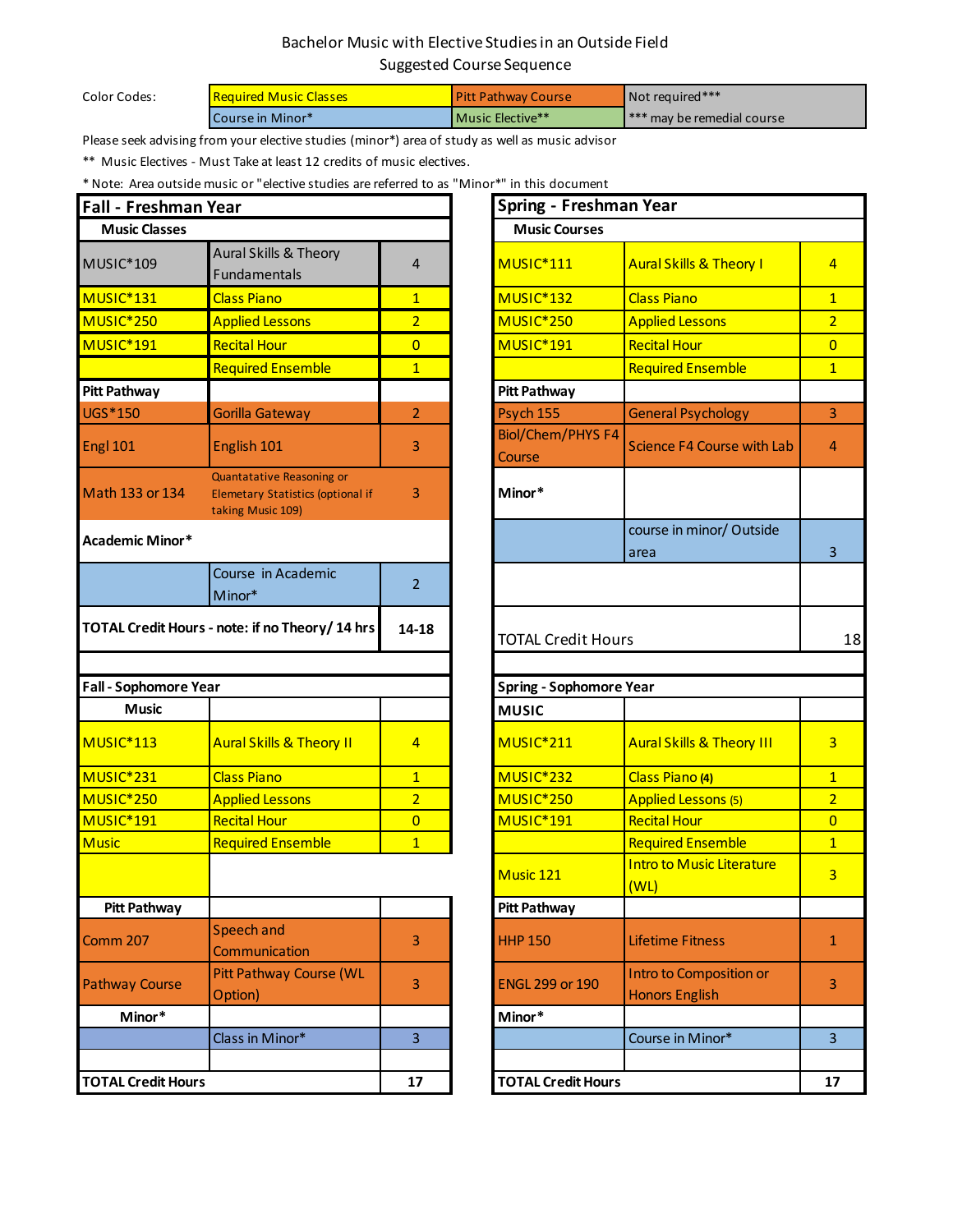## Bachelor Music with Elective Studies in an Outside Field Suggested Course Sequence

Color Codes:

| <b>Required Music Classes</b> | <b>Pitt Pathway Course</b> | Not required***                           |
|-------------------------------|----------------------------|-------------------------------------------|
| Course in Minor*              | <b>I</b> Music Elective**  | $\mathsf{I}^{***}$ may be remedial course |

Please seek advising from your elective studies (minor\*) area of study as well as music advisor

\*\* Music Electives - Must Take at least 12 credits of music electives.

\* Note: Area outside music or "elective studies are referred to as "Minor\*" in this document

| <b>Fall - Freshman Year</b>  |                                                                                            |                | Spring - Freshman Year                                      |                                                  |                         |
|------------------------------|--------------------------------------------------------------------------------------------|----------------|-------------------------------------------------------------|--------------------------------------------------|-------------------------|
| <b>Music Classes</b>         |                                                                                            |                | <b>Music Courses</b>                                        |                                                  |                         |
| MUSIC*109                    | Aural Skills & Theory<br>Fundamentals                                                      | 4              | MUSIC*111                                                   | <b>Aural Skills &amp; Theory I</b>               | 4                       |
| MUSIC <sup>*</sup> 131       | <b>Class Piano</b>                                                                         | $\overline{1}$ | <b>MUSIC*132</b>                                            | <b>Class Piano</b>                               | $\overline{1}$          |
| <b>MUSIC*250</b>             | <b>Applied Lessons</b>                                                                     | $\overline{2}$ | MUSIC <sup>*</sup> 250                                      | <b>Applied Lessons</b>                           | $\overline{\mathbf{c}}$ |
| MUSIC*191                    | <b>Recital Hour</b>                                                                        | $\overline{0}$ | MUSIC*191                                                   | <b>Recital Hour</b>                              | $\overline{0}$          |
|                              | <b>Required Ensemble</b>                                                                   | $\mathbf{1}$   |                                                             | <b>Required Ensemble</b>                         | $\overline{1}$          |
| <b>Pitt Pathway</b>          |                                                                                            |                | <b>Pitt Pathway</b>                                         |                                                  |                         |
| UGS * 150                    | <b>Gorilla Gateway</b>                                                                     | $\overline{2}$ | Psych 155                                                   | <b>General Psychology</b>                        | 3                       |
| <b>Engl 101</b>              | English 101                                                                                | 3              | <b>Biol/Chem/PHYS F4</b><br>Course                          | <b>Science F4 Course with Lab</b>                | $\overline{4}$          |
| Math 133 or 134              | Quantatative Reasoning or<br><b>Elemetary Statistics (optional if</b><br>taking Music 109) | 3              | Minor*                                                      |                                                  |                         |
| <b>Academic Minor*</b>       |                                                                                            |                |                                                             | course in minor/ Outside<br>area                 | 3                       |
|                              | Course in Academic<br>Minor*                                                               | $\overline{2}$ |                                                             |                                                  |                         |
| <b>Fall - Sophomore Year</b> |                                                                                            |                | <b>TOTAL Credit Hours</b><br><b>Spring - Sophomore Year</b> |                                                  |                         |
| <b>Music</b>                 |                                                                                            |                | <b>MUSIC</b>                                                |                                                  |                         |
| <b>MUSIC*113</b>             | <b>Aural Skills &amp; Theory II</b>                                                        | $\overline{4}$ | MUSIC*211                                                   | <b>Aural Skills &amp; Theory III</b>             | 3                       |
| MUSIC*231                    | <b>Class Piano</b>                                                                         | $\mathbf{1}$   | MUSIC*232                                                   | Class Piano (4)                                  | $\overline{1}$          |
| <b>MUSIC*250</b>             | <b>Applied Lessons</b>                                                                     | $\overline{2}$ | <b>MUSIC*250</b>                                            | <b>Applied Lessons (5)</b>                       | $\overline{\mathbf{c}}$ |
| MUSIC <sup>*</sup> 191       | <b>Recital Hour</b>                                                                        | $\overline{0}$ | MUSIC*191                                                   | <b>Recital Hour</b>                              | $\overline{0}$          |
| <b>Music</b>                 | <b>Required Ensemble</b>                                                                   | $\overline{1}$ |                                                             | <b>Required Ensemble</b>                         | $\overline{1}$          |
|                              |                                                                                            |                | Music 121                                                   | <b>Intro to Music Literature</b><br>(WL)         | 3                       |
| <b>Pitt Pathway</b>          |                                                                                            |                | <b>Pitt Pathway</b>                                         |                                                  |                         |
| <b>Comm 207</b>              | Speech and<br>Communication                                                                | 3              | <b>HHP 150</b>                                              | <b>Lifetime Fitness</b>                          | 1                       |
| <b>Pathway Course</b>        | <b>Pitt Pathway Course (WL</b><br>Option)                                                  | 3              | <b>ENGL 299 or 190</b>                                      | Intro to Composition or<br><b>Honors English</b> | 3                       |
| Minor*                       |                                                                                            |                | Minor*                                                      |                                                  |                         |
|                              | Class in Minor*                                                                            | $\overline{3}$ |                                                             | Course in Minor*                                 | 3                       |
| <b>TOTAL Credit Hours</b>    |                                                                                            | 17             | <b>TOTAL Credit Hours</b>                                   |                                                  | $\mathbf{1}$            |

| 'ear                                                                                       |                | Spring - Freshman Year             |                                                         |                |  |
|--------------------------------------------------------------------------------------------|----------------|------------------------------------|---------------------------------------------------------|----------------|--|
|                                                                                            |                | <b>Music Courses</b>               |                                                         |                |  |
| Aural Skills & Theory<br>Fundamentals                                                      | 4              | <b>MUSIC*111</b>                   | <b>Aural Skills &amp; Theory I</b>                      | $\overline{4}$ |  |
| <b>Class Piano</b>                                                                         | $\overline{1}$ | MUSIC*132                          | <b>Class Piano</b>                                      | $\overline{1}$ |  |
| <b>Applied Lessons</b>                                                                     | $\overline{2}$ | MUSIC <sup>*</sup> 250             | <b>Applied Lessons</b>                                  | $\overline{2}$ |  |
| <b>Recital Hour</b>                                                                        | $\overline{0}$ | MUSIC*191                          | <b>Recital Hour</b>                                     | $\overline{0}$ |  |
| <b>Required Ensemble</b>                                                                   | $\overline{1}$ |                                    | <b>Required Ensemble</b>                                | $\overline{1}$ |  |
|                                                                                            |                | <b>Pitt Pathway</b>                |                                                         |                |  |
| <b>Gorilla Gateway</b>                                                                     | $\overline{2}$ | Psych 155                          | <b>General Psychology</b>                               | 3              |  |
| English 101                                                                                | 3              | <b>Biol/Chem/PHYS F4</b><br>Course | Science F4 Course with Lab                              | 4              |  |
| Quantatative Reasoning or<br><b>Elemetary Statistics (optional if</b><br>taking Music 109) | 3              | Minor*                             |                                                         |                |  |
|                                                                                            |                |                                    | course in minor/ Outside<br>area                        | 3              |  |
| Course in Academic<br>Minor*                                                               | $\overline{2}$ |                                    |                                                         |                |  |
| note: if no Theory/ 14 hrs                                                                 | 14-18          | <b>TOTAL Credit Hours</b>          |                                                         | 18             |  |
|                                                                                            |                |                                    |                                                         |                |  |
| ır                                                                                         |                | <b>Spring - Sophomore Year</b>     |                                                         |                |  |
|                                                                                            |                | <b>MUSIC</b>                       |                                                         |                |  |
| <b>Aural Skills &amp; Theory II</b>                                                        | $\overline{4}$ | MUSIC*211                          | <b>Aural Skills &amp; Theory III</b>                    | $\overline{3}$ |  |
| <b>Class Piano</b>                                                                         | $\mathbf{1}$   | MUSIC*232                          | Class Piano (4)                                         | $\mathbf{1}$   |  |
| <b>Applied Lessons</b>                                                                     | $\overline{2}$ | MUSIC <sup>*</sup> 250             | <b>Applied Lessons (5)</b>                              | $\overline{2}$ |  |
| <b>Recital Hour</b>                                                                        | $\overline{0}$ | MUSIC*191                          | <b>Recital Hour</b>                                     | $\overline{0}$ |  |
| <b>Required Ensemble</b>                                                                   | $\overline{1}$ |                                    | <b>Required Ensemble</b>                                | $\mathbf{1}$   |  |
|                                                                                            |                | Music 121                          | <b>Intro to Music Literature</b><br>(WL)                | $\overline{3}$ |  |
|                                                                                            |                | Pitt Pathway                       |                                                         |                |  |
| <b>Speech and</b><br>Communication                                                         | 3              | <b>HHP 150</b>                     | <b>Lifetime Fitness</b>                                 | $\mathbf{1}$   |  |
| <b>Pitt Pathway Course (WL</b><br>Option)                                                  | 3              | <b>ENGL 299 or 190</b>             | <b>Intro to Composition or</b><br><b>Honors English</b> | 3              |  |
|                                                                                            |                | Minor*                             |                                                         |                |  |
| Class in Minor*                                                                            | 3              |                                    | Course in Minor*                                        | 3              |  |
|                                                                                            |                |                                    |                                                         |                |  |
|                                                                                            | 17             | <b>TOTAL Credit Hours</b>          |                                                         | 17             |  |